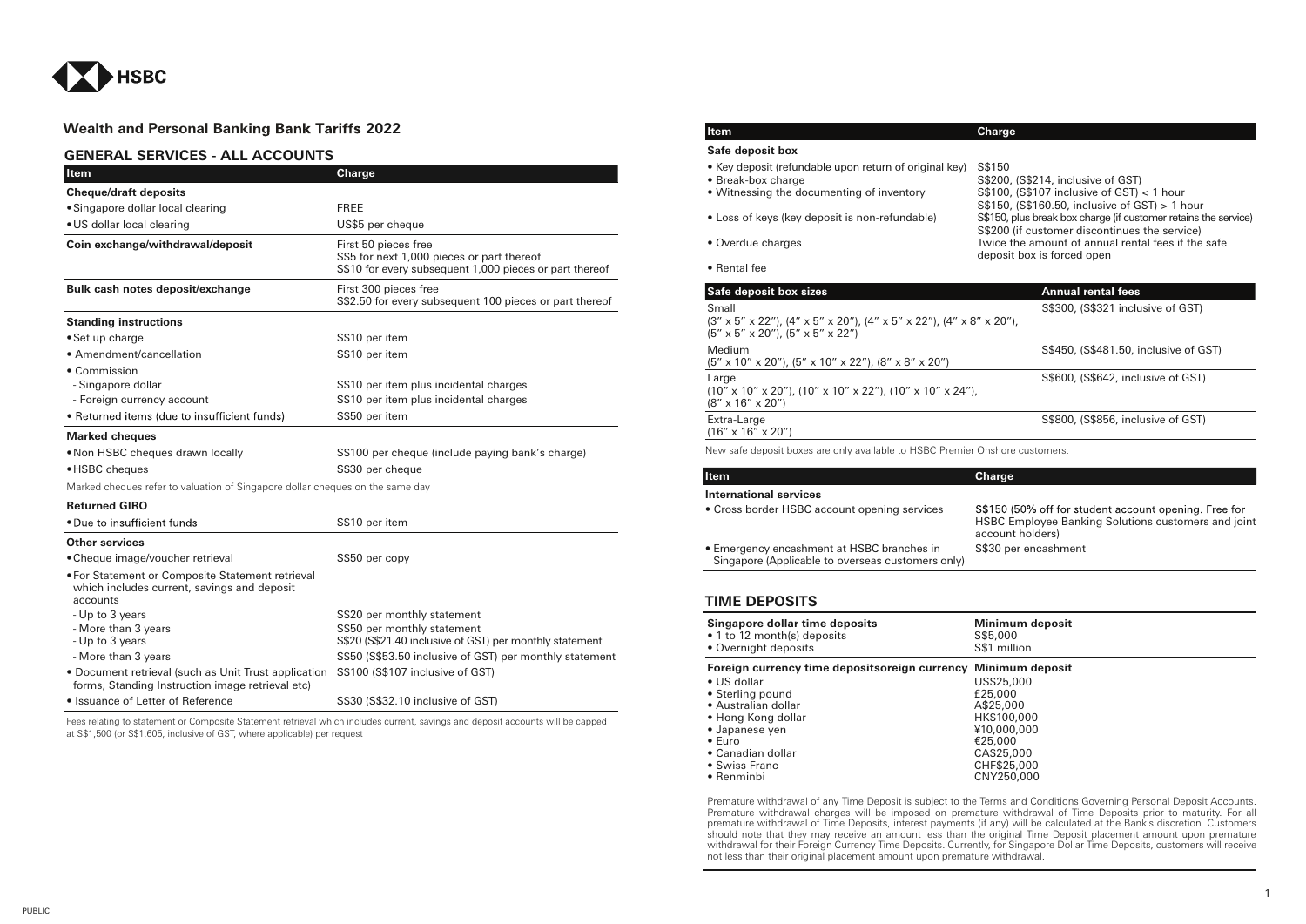

## **Wealth and Personal Banki Item Charge 2022**

| <b>GENERAL SERVICES - ALL ACCOUNTS</b>                                                                      |                                                                                                                               |  |
|-------------------------------------------------------------------------------------------------------------|-------------------------------------------------------------------------------------------------------------------------------|--|
| Item                                                                                                        | Charge                                                                                                                        |  |
| <b>Cheque/draft deposits</b>                                                                                |                                                                                                                               |  |
| • Singapore dollar local clearing                                                                           | <b>FREE</b>                                                                                                                   |  |
| · US dollar local clearing                                                                                  | US\$5 per cheque                                                                                                              |  |
| Coin exchange/withdrawal/deposit                                                                            | First 50 pieces free<br>S\$5 for next 1,000 pieces or part thereof<br>S\$10 for every subsequent 1,000 pieces or part thereof |  |
| Bulk cash notes deposit/exchange                                                                            | First 300 pieces free<br>S\$2.50 for every subsequent 100 pieces or part thereof                                              |  |
| <b>Standing instructions</b>                                                                                |                                                                                                                               |  |
| • Set up charge                                                                                             | S\$10 per item                                                                                                                |  |
| • Amendment/cancellation                                                                                    | S\$10 per item                                                                                                                |  |
| • Commission                                                                                                |                                                                                                                               |  |
| - Singapore dollar                                                                                          | S\$10 per item plus incidental charges                                                                                        |  |
| - Foreign currency account                                                                                  | S\$10 per item plus incidental charges                                                                                        |  |
| • Returned items (due to insufficient funds)                                                                | S\$50 per item                                                                                                                |  |
| <b>Marked cheques</b>                                                                                       |                                                                                                                               |  |
| . Non HSBC cheques drawn locally                                                                            | S\$100 per cheque (include paying bank's charge)                                                                              |  |
| • HSBC cheques                                                                                              | S\$30 per cheque                                                                                                              |  |
| Marked cheques refer to valuation of Singapore dollar cheques on the same day                               |                                                                                                                               |  |
| <b>Returned GIRO</b>                                                                                        |                                                                                                                               |  |
| • Due to insufficient funds                                                                                 | S\$10 per item                                                                                                                |  |
| <b>Other services</b>                                                                                       |                                                                                                                               |  |
| • Cheque image/voucher retrieval                                                                            | S\$50 per copy                                                                                                                |  |
| . For Statement or Composite Statement retrieval<br>which includes current, savings and deposit<br>accounts |                                                                                                                               |  |
| - Up to 3 years                                                                                             | S\$20 per monthly statement                                                                                                   |  |
| - More than 3 years<br>- Up to 3 years                                                                      | S\$50 per monthly statement<br>S\$20 (S\$21.40 inclusive of GST) per monthly statement                                        |  |
| - More than 3 years                                                                                         | S\$50 (S\$53.50 inclusive of GST) per monthly statement                                                                       |  |
| • Document retrieval (such as Unit Trust application<br>forms, Standing Instruction image retrieval etc)    | S\$100 (S\$107 inclusive of GST)                                                                                              |  |
| • Issuance of Letter of Reference                                                                           | S\$30 (S\$32.10 inclusive of GST)                                                                                             |  |

Fees relating to statement or Composite Statement retrieval which includes current, savings and deposit accounts will be capped at S\$1,500 (or S\$1,605, inclusive of GST, where applicable) per request

## **Safe deposit box** • Key deposit (refundable upon return of original key) S\$150  $$200$ , (S\$214, inclusive of GST)<br> $$100$ , (S\$107 inclusive of GST) < 1 hour • Witnessing the documenting of inventory S\$150, (S\$160.50, inclusive of GST) > 1 hour • Loss of keys (key deposit is non-refundable) S\$150, plus break box charge (if customer retains the service) S\$200 (if customer discontinues the service) • Overdue charges Twice the amount of annual rental fees if the safe

• Rental fee

| Safe deposit box sizes                                                                                                                                                                                          | <b>Annual rental fees</b>             |
|-----------------------------------------------------------------------------------------------------------------------------------------------------------------------------------------------------------------|---------------------------------------|
| Small<br>$(3'' \times 5'' \times 22'')$ , $(4'' \times 5'' \times 20'')$ , $(4'' \times 5'' \times 22'')$ , $(4'' \times 8'' \times 20'')$ ,<br>$(5'' \times 5'' \times 20'')$ , $(5'' \times 5'' \times 22'')$ | S\$300, (S\$321 inclusive of GST)     |
| Medium<br>$(5'' \times 10'' \times 20'')$ , $(5'' \times 10'' \times 22'')$ , $(8'' \times 8'' \times 20'')$                                                                                                    | S\$450, (S\$481.50, inclusive of GST) |
| Large<br>$(10'' \times 10'' \times 20'')$ , $(10'' \times 10'' \times 22'')$ , $(10'' \times 10'' \times 24'')$ ,<br>$(8" \times 16" \times 20")$                                                               | S\$600, (S\$642, inclusive of GST)    |
| Extra-Large<br>$(16'' \times 16'' \times 20'')$                                                                                                                                                                 | S\$800, (S\$856, inclusive of GST)    |

deposit box is forced open

New safe deposit boxes are only available to HSBC Premier Onshore customers.

| <b>Item</b>                                                                                     | Charge                                                                                                                           |
|-------------------------------------------------------------------------------------------------|----------------------------------------------------------------------------------------------------------------------------------|
| <b>International services</b>                                                                   |                                                                                                                                  |
| • Cross border HSBC account opening services                                                    | S\$150 (50% off for student account opening. Free for<br>HSBC Employee Banking Solutions customers and joint<br>account holders) |
| • Emergency encashment at HSBC branches in<br>Singapore (Applicable to overseas customers only) | S\$30 per encashment                                                                                                             |

## **TIME DEPOSITS**

| Singapore dollar time deposits<br>• 1 to 12 month(s) deposits<br>• Overnight deposits | Minimum deposit<br>S\$5,000<br>S\$1 million |
|---------------------------------------------------------------------------------------|---------------------------------------------|
| Foreign currency time depositsoreign currency Minimum deposit                         |                                             |
| $\bullet$ US dollar                                                                   | US\$25,000                                  |
| • Sterling pound                                                                      | £25,000                                     |
| • Australian dollar                                                                   | A\$25,000                                   |
| • Hong Kong dollar                                                                    | HK\$100,000                                 |
| • Japanese yen                                                                        | ¥10,000,000                                 |
| $\bullet$ Euro                                                                        | €25.000                                     |
| • Canadian dollar                                                                     | CA\$25,000                                  |
| • Swiss Franc                                                                         | CHF\$25,000                                 |
| • Renminbi                                                                            | CNY250.000                                  |

Premature withdrawal of any Time Deposit is subject to the Terms and Conditions Governing Personal Deposit Accounts. Premature withdrawal charges will be imposed on premature withdrawal of Time Deposits prior to maturity. For all premature withdrawal of Time Deposits, interest payments (if any) will be calculated at the Bank's discretion. Customers should note that they may receive an amount less than the original Time Deposit placement amount upon premature withdrawal for their Foreign Currency Time Deposits. Currently, for Singapore Dollar Time Deposits, customers will receive not less than their original placement amount upon premature withdrawal.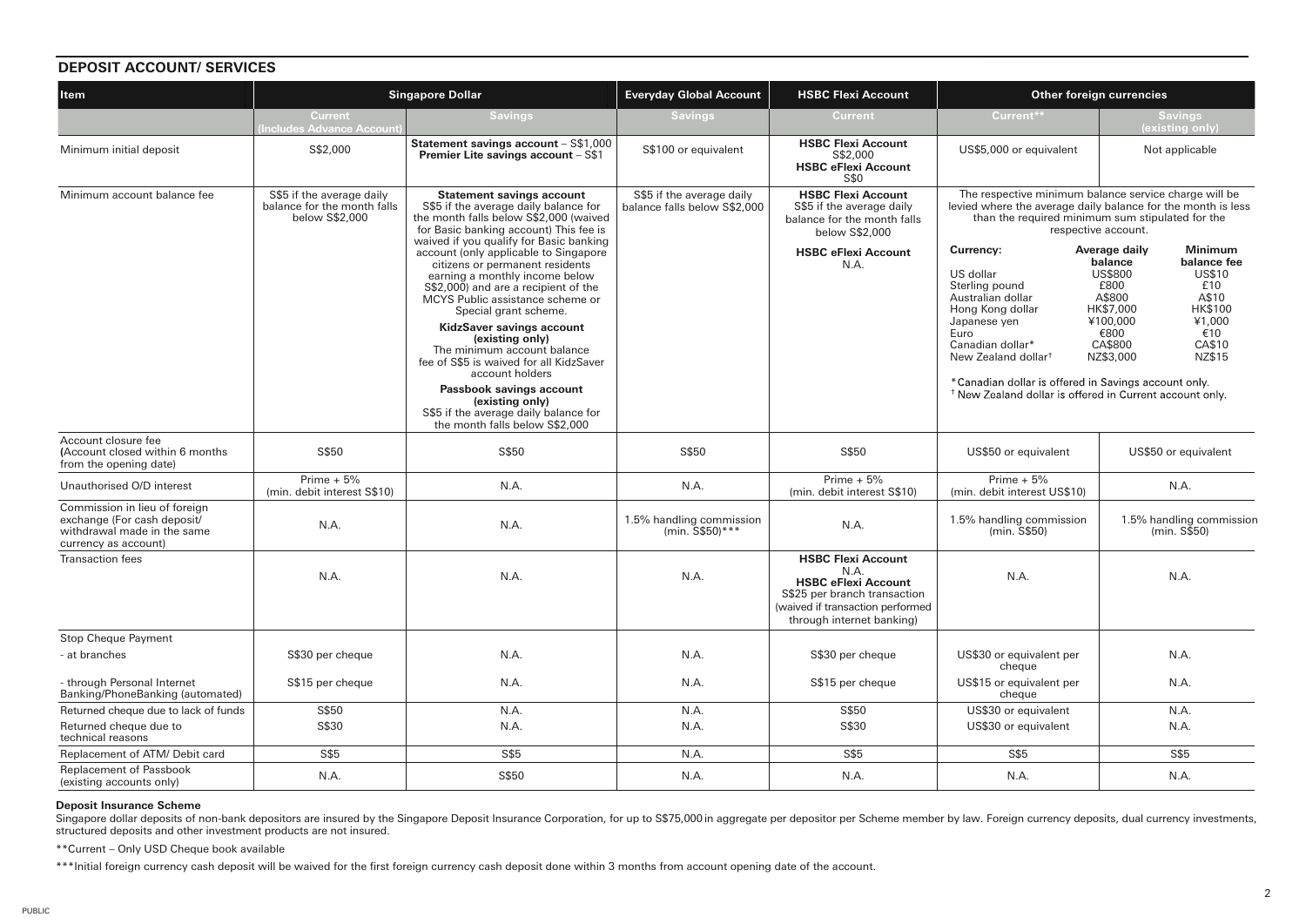| <b>DEPOSIT ACCOUNT/ SERVICES</b>                                                                                    |                                                                            |                                                                                                                                                                                                                                                                                                                                                              |                                                           |                                                                                                                                                                  |                                                                                                                                                                                                                          |                                                                                                                                                                                                                                                |
|---------------------------------------------------------------------------------------------------------------------|----------------------------------------------------------------------------|--------------------------------------------------------------------------------------------------------------------------------------------------------------------------------------------------------------------------------------------------------------------------------------------------------------------------------------------------------------|-----------------------------------------------------------|------------------------------------------------------------------------------------------------------------------------------------------------------------------|--------------------------------------------------------------------------------------------------------------------------------------------------------------------------------------------------------------------------|------------------------------------------------------------------------------------------------------------------------------------------------------------------------------------------------------------------------------------------------|
| <b>Singapore Dollar</b><br><b>Item</b>                                                                              |                                                                            | <b>Everyday Global Account</b>                                                                                                                                                                                                                                                                                                                               | <b>HSBC Flexi Account</b>                                 | Other foreign currencies                                                                                                                                         |                                                                                                                                                                                                                          |                                                                                                                                                                                                                                                |
|                                                                                                                     | <b>Current</b><br><b>Includes Advance Account</b>                          | <b>Savings</b>                                                                                                                                                                                                                                                                                                                                               | <b>Savings</b>                                            | <b>Current</b>                                                                                                                                                   | Current**                                                                                                                                                                                                                | <b>Savings</b><br>(existing only)                                                                                                                                                                                                              |
| Minimum initial deposit                                                                                             | S\$2,000                                                                   | Statement savings account - S\$1,000<br>Premier Lite savings account - S\$1                                                                                                                                                                                                                                                                                  | S\$100 or equivalent                                      | <b>HSBC Flexi Account</b><br>S\$2,000<br><b>HSBC eFlexi Account</b><br>S\$0                                                                                      | US\$5,000 or equivalent                                                                                                                                                                                                  | Not applicable                                                                                                                                                                                                                                 |
| Minimum account balance fee                                                                                         | S\$5 if the average daily<br>balance for the month falls<br>below S\$2,000 | <b>Statement savings account</b><br>S\$5 if the average daily balance for<br>the month falls below S\$2,000 (waived<br>for Basic banking account) This fee is<br>waived if you qualify for Basic banking                                                                                                                                                     | S\$5 if the average daily<br>balance falls below S\$2.000 | <b>HSBC Flexi Account</b><br>S\$5 if the average daily<br>balance for the month falls<br>below S\$2,000                                                          |                                                                                                                                                                                                                          | The respective minimum balance service charge will be<br>levied where the average daily balance for the month is less<br>than the required minimum sum stipulated for the<br>respective account.                                               |
|                                                                                                                     |                                                                            | account (only applicable to Singapore<br>citizens or permanent residents<br>earning a monthly income below<br>S\$2,000) and are a recipient of the<br>MCYS Public assistance scheme or<br>Special grant scheme.<br>KidzSaver savings account<br>(existing only)<br>The minimum account balance<br>fee of S\$5 is waived for all KidzSaver<br>account holders |                                                           | <b>HSBC eFlexi Account</b><br>N.A.                                                                                                                               | Currency:<br>US dollar<br>Sterling pound<br>Australian dollar<br>Hong Kong dollar<br>Japanese yen<br>Euro<br>Canadian dollar*<br>New Zealand dollar <sup>t</sup><br>*Canadian dollar is offered in Savings account only. | Average daily<br><b>Minimum</b><br>balance<br>balance fee<br><b>US\$800</b><br><b>US\$10</b><br>£800<br>£10<br>A\$800<br>A\$10<br>HK\$7,000<br><b>HK\$100</b><br>¥100,000<br>¥1,000<br>€10<br>€800<br>CA\$800<br>CA\$10<br>NZ\$3,000<br>NZ\$15 |
|                                                                                                                     |                                                                            | Passbook savings account<br>(existing only)<br>S\$5 if the average daily balance for<br>the month falls below S\$2,000                                                                                                                                                                                                                                       |                                                           |                                                                                                                                                                  | <sup>†</sup> New Zealand dollar is offered in Current account only.                                                                                                                                                      |                                                                                                                                                                                                                                                |
| Account closure fee<br>(Account closed within 6 months<br>from the opening date)                                    | S\$50                                                                      | S\$50                                                                                                                                                                                                                                                                                                                                                        | S\$50                                                     | S\$50                                                                                                                                                            | US\$50 or equivalent                                                                                                                                                                                                     | US\$50 or equivalent                                                                                                                                                                                                                           |
| Unauthorised O/D interest                                                                                           | Prime $+5%$<br>(min. debit interest S\$10)                                 | N.A.                                                                                                                                                                                                                                                                                                                                                         | N.A.                                                      | Prime $+5%$<br>(min. debit interest S\$10)                                                                                                                       | Prime $+5%$<br>(min. debit interest US\$10)                                                                                                                                                                              | N.A.                                                                                                                                                                                                                                           |
| Commission in lieu of foreign<br>exchange (For cash deposit/<br>withdrawal made in the same<br>currency as account) | N.A.                                                                       | N.A.                                                                                                                                                                                                                                                                                                                                                         | 1.5% handling commission<br>(min. $S$50$ )***             | N.A.                                                                                                                                                             | 1.5% handling commission<br>(min. S\$50)                                                                                                                                                                                 | 1.5% handling commission<br>(min. S\$50)                                                                                                                                                                                                       |
| <b>Transaction</b> fees                                                                                             | N.A.                                                                       | N.A.                                                                                                                                                                                                                                                                                                                                                         | N.A.                                                      | <b>HSBC Flexi Account</b><br>N.A.<br><b>HSBC eFlexi Account</b><br>S\$25 per branch transaction<br>(waived if transaction performed<br>through internet banking) | N.A.                                                                                                                                                                                                                     | N.A.                                                                                                                                                                                                                                           |
| <b>Stop Cheque Payment</b>                                                                                          |                                                                            |                                                                                                                                                                                                                                                                                                                                                              |                                                           |                                                                                                                                                                  |                                                                                                                                                                                                                          |                                                                                                                                                                                                                                                |
| - at branches                                                                                                       | S\$30 per cheque                                                           | N.A.                                                                                                                                                                                                                                                                                                                                                         | N.A.                                                      | S\$30 per cheque                                                                                                                                                 | US\$30 or equivalent per<br>cheque                                                                                                                                                                                       | N.A.                                                                                                                                                                                                                                           |
| - through Personal Internet<br>Banking/PhoneBanking (automated)                                                     | S\$15 per cheque                                                           | N.A.                                                                                                                                                                                                                                                                                                                                                         | N.A.                                                      | S\$15 per cheque                                                                                                                                                 | US\$15 or equivalent per<br>cheque                                                                                                                                                                                       | N.A.                                                                                                                                                                                                                                           |
| Returned cheque due to lack of funds                                                                                | S\$50                                                                      | N.A.                                                                                                                                                                                                                                                                                                                                                         | N.A.                                                      | S\$50                                                                                                                                                            | US\$30 or equivalent                                                                                                                                                                                                     | N.A.                                                                                                                                                                                                                                           |
| Returned cheque due to<br>technical reasons                                                                         | S\$30                                                                      | N.A.                                                                                                                                                                                                                                                                                                                                                         | N.A.                                                      | S\$30                                                                                                                                                            | US\$30 or equivalent                                                                                                                                                                                                     | N.A.                                                                                                                                                                                                                                           |
| Replacement of ATM/ Debit card                                                                                      | S\$5                                                                       | S\$5                                                                                                                                                                                                                                                                                                                                                         | N.A.                                                      | S\$5                                                                                                                                                             | S\$5                                                                                                                                                                                                                     | S\$5                                                                                                                                                                                                                                           |
| Replacement of Passbook<br>(existing accounts only)                                                                 | N.A.                                                                       | S\$50                                                                                                                                                                                                                                                                                                                                                        | N.A.                                                      | N.A.                                                                                                                                                             | N.A.                                                                                                                                                                                                                     | N.A.                                                                                                                                                                                                                                           |

#### **Deposit Insurance Scheme**

Singapore dollar deposits of non-bank depositors are insured by the Singapore Deposit Insurance Corporation, for up to S\$75,000 in aggregate per depositor per Scheme member by law. Foreign currency deposits, dual currency structured deposits and other investment products are not insured.

\*\*Current – Only USD Cheque book available

\*\*\*Initial foreign currency cash deposit will be waived for the first foreign currency cash deposit done within 3 months from account opening date of the account.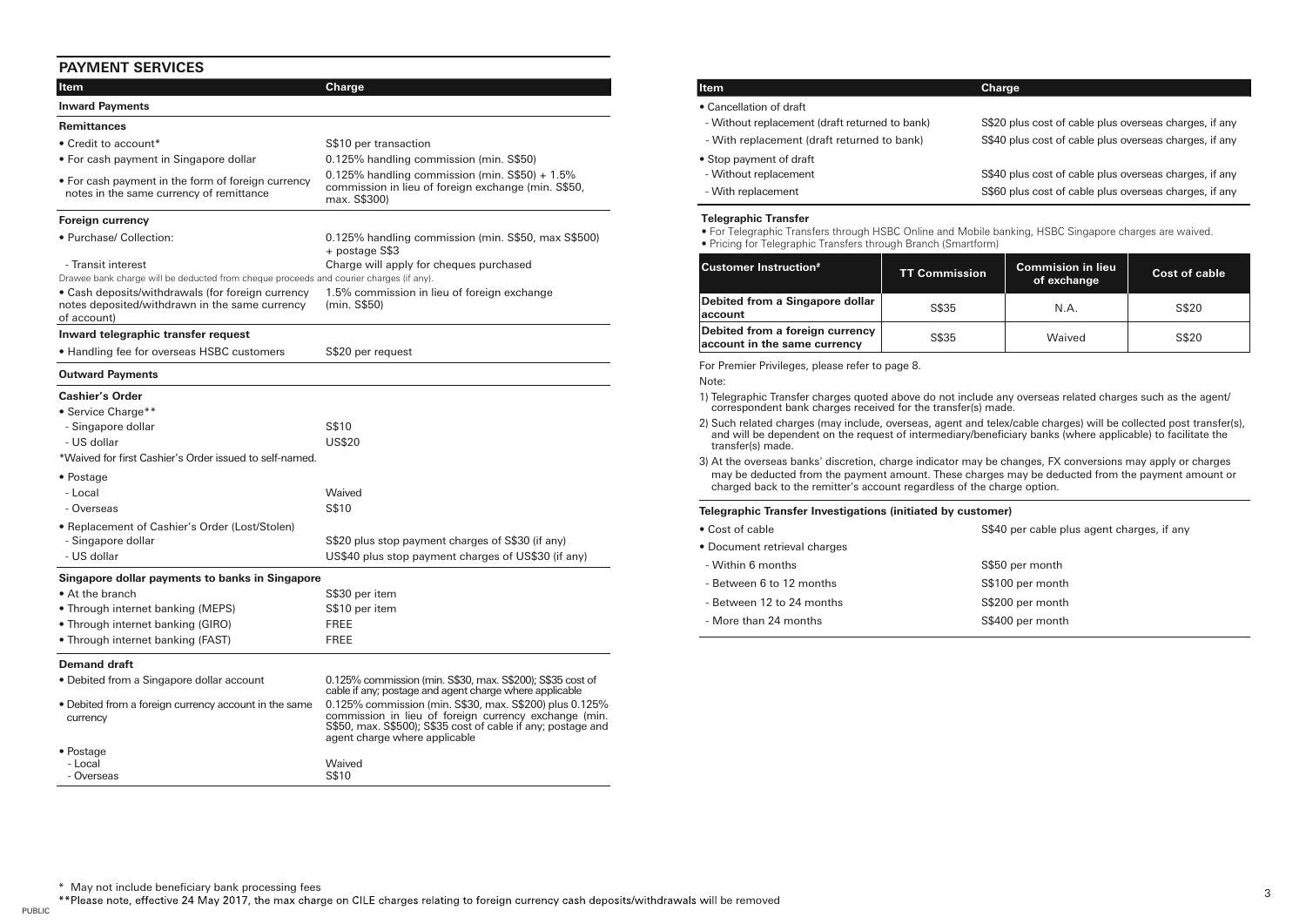# **PAYMENT SERVICES**

| Item                                                                                                               | Charge                                                                                                                                                                                                            |
|--------------------------------------------------------------------------------------------------------------------|-------------------------------------------------------------------------------------------------------------------------------------------------------------------------------------------------------------------|
| <b>Inward Payments</b>                                                                                             |                                                                                                                                                                                                                   |
| <b>Remittances</b>                                                                                                 |                                                                                                                                                                                                                   |
| • Credit to account*                                                                                               | S\$10 per transaction                                                                                                                                                                                             |
| • For cash payment in Singapore dollar                                                                             | 0.125% handling commission (min. S\$50)                                                                                                                                                                           |
| • For cash payment in the form of foreign currency<br>notes in the same currency of remittance                     | $0.125\%$ handling commission (min. S\$50) + 1.5%<br>commission in lieu of foreign exchange (min. S\$50,<br>max. S\$300)                                                                                          |
| Foreign currency                                                                                                   |                                                                                                                                                                                                                   |
| • Purchase/ Collection:                                                                                            | 0.125% handling commission (min. S\$50, max S\$500)<br>+ postage S\$3                                                                                                                                             |
| - Transit interest                                                                                                 | Charge will apply for cheques purchased                                                                                                                                                                           |
| Drawee bank charge will be deducted from cheque proceeds and courier charges (if any).                             |                                                                                                                                                                                                                   |
| • Cash deposits/withdrawals (for foreign currency<br>notes deposited/withdrawn in the same currency<br>of account) | 1.5% commission in lieu of foreign exchange<br>(min. S\$50)                                                                                                                                                       |
| Inward telegraphic transfer request                                                                                |                                                                                                                                                                                                                   |
| • Handling fee for overseas HSBC customers                                                                         | S\$20 per request                                                                                                                                                                                                 |
| <b>Outward Payments</b>                                                                                            |                                                                                                                                                                                                                   |
| <b>Cashier's Order</b>                                                                                             |                                                                                                                                                                                                                   |
| • Service Charge**                                                                                                 |                                                                                                                                                                                                                   |
| - Singapore dollar                                                                                                 | S\$10                                                                                                                                                                                                             |
| - US dollar                                                                                                        | <b>US\$20</b>                                                                                                                                                                                                     |
| *Waived for first Cashier's Order issued to self-named.                                                            |                                                                                                                                                                                                                   |
| • Postage                                                                                                          |                                                                                                                                                                                                                   |
| - Local                                                                                                            | Waived                                                                                                                                                                                                            |
| - Overseas                                                                                                         | S\$10                                                                                                                                                                                                             |
| • Replacement of Cashier's Order (Lost/Stolen)                                                                     |                                                                                                                                                                                                                   |
| - Singapore dollar                                                                                                 | S\$20 plus stop payment charges of S\$30 (if any)                                                                                                                                                                 |
| - US dollar                                                                                                        | US\$40 plus stop payment charges of US\$30 (if any)                                                                                                                                                               |
| Singapore dollar payments to banks in Singapore                                                                    |                                                                                                                                                                                                                   |
| • At the branch                                                                                                    | S\$30 per item                                                                                                                                                                                                    |
| • Through internet banking (MEPS)                                                                                  | S\$10 per item                                                                                                                                                                                                    |
| • Through internet banking (GIRO)                                                                                  | <b>FREE</b>                                                                                                                                                                                                       |
| • Through internet banking (FAST)                                                                                  | <b>FREE</b>                                                                                                                                                                                                       |
| <b>Demand draft</b>                                                                                                |                                                                                                                                                                                                                   |
| • Debited from a Singapore dollar account                                                                          | 0.125% commission (min. S\$30, max. S\$200); S\$35 cost of<br>cable if any; postage and agent charge where applicable                                                                                             |
| • Debited from a foreign currency account in the same<br>currency                                                  | 0.125% commission (min. S\$30, max. S\$200) plus 0.125%<br>commission in lieu of foreign currency exchange (min.<br>S\$50, max. S\$500); S\$35 cost of cable if any; postage and<br>agent charge where applicable |
| • Postage                                                                                                          |                                                                                                                                                                                                                   |
| - Local                                                                                                            | Waived                                                                                                                                                                                                            |
| - Overseas                                                                                                         | S\$10                                                                                                                                                                                                             |

| <b>Item</b>                                    | Charge                                                 |
|------------------------------------------------|--------------------------------------------------------|
| • Cancellation of draft                        |                                                        |
| - Without replacement (draft returned to bank) | S\$20 plus cost of cable plus overseas charges, if any |
| - With replacement (draft returned to bank)    | S\$40 plus cost of cable plus overseas charges, if any |
| • Stop payment of draft                        |                                                        |
| - Without replacement                          | S\$40 plus cost of cable plus overseas charges, if any |
| - With replacement                             | S\$60 plus cost of cable plus overseas charges, if any |
| <b>Telegraphic Transfer</b>                    |                                                        |

#### **Telegraphic Transfer**

• For Telegraphic Transfers through HSBC Online and Mobile banking, HSBC Singapore charges are waived.

• Pricing for Telegraphic Transfers through Branch (Smartform)

| <b>Customer Instruction#</b>                                    | <b>TT Commission</b> | <b>Commision in lieu</b><br>of exchange | Cost of cable |
|-----------------------------------------------------------------|----------------------|-----------------------------------------|---------------|
| Debited from a Singapore dollar<br>account                      | S\$35                | N.A.                                    | S\$20         |
| Debited from a foreign currency<br>account in the same currency | S\$35                | Waived                                  | S\$20         |

For Premier Privileges, please refer to page 8.

#### Note:

- 1) Telegraphic Transfer charges quoted above do not include any overseas related charges such as the agent/ correspondent bank charges received for the transfer(s) made.
- 2) Such related charges (may include, overseas, agent and telex/cable charges) will be collected post transfer(s), and will be dependent on the request of intermediary/beneficiary banks (where applicable) to facilitate the transfer(s) made.
- 3) At the overseas banks' discretion, charge indicator may be changes, FX conversions may apply or charges may be deducted from the payment amount. These charges may be deducted from the payment amount or charged back to the remitter's account regardless of the charge option.

#### **Telegraphic Transfer Investigations (initiated by customer)**

| • Cost of cable              | S\$40 per cable plus agent charges, if any |
|------------------------------|--------------------------------------------|
| • Document retrieval charges |                                            |
| - Within 6 months            | S\$50 per month                            |
| - Between 6 to 12 months     | S\$100 per month                           |
| - Between 12 to 24 months    | S\$200 per month                           |
| - More than 24 months        | S\$400 per month                           |

\*\* Please note, effective 24 May 2017, the max charge on CILE charges relating to foreign currency cash deposits/withdrawals will be removed

PUBLIC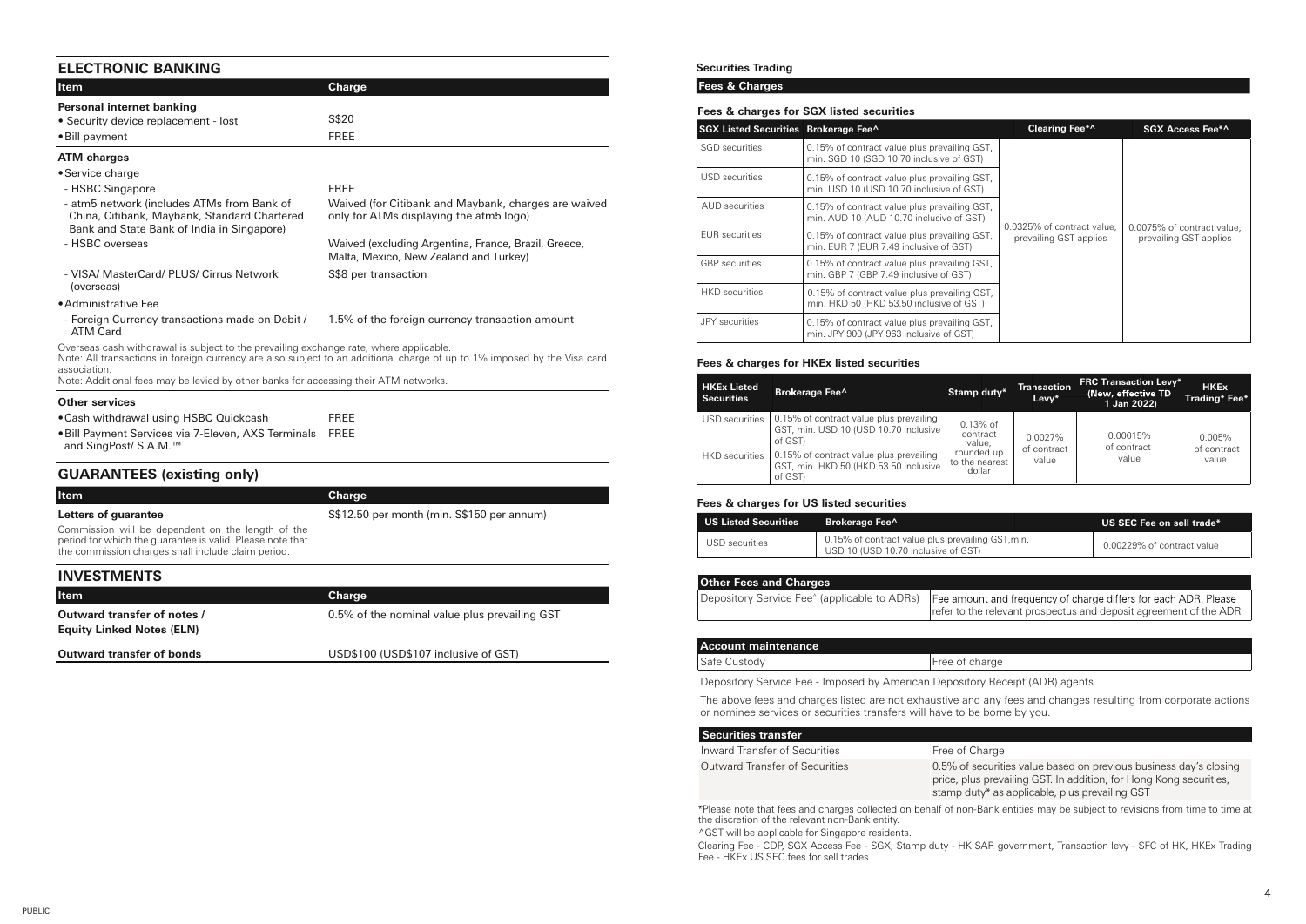# **ELECTRONIC BANKING**

| <b>Item</b>                                                                                                                                                                                    | Charge                                                                                                                   |
|------------------------------------------------------------------------------------------------------------------------------------------------------------------------------------------------|--------------------------------------------------------------------------------------------------------------------------|
| Personal internet banking                                                                                                                                                                      |                                                                                                                          |
| • Security device replacement - lost                                                                                                                                                           | S\$20                                                                                                                    |
| • Bill payment                                                                                                                                                                                 | FREE                                                                                                                     |
| <b>ATM</b> charges                                                                                                                                                                             |                                                                                                                          |
| • Service charge                                                                                                                                                                               |                                                                                                                          |
| - HSBC Singapore                                                                                                                                                                               | FREE                                                                                                                     |
| - atm5 network (includes ATMs from Bank of<br>China, Citibank, Maybank, Standard Chartered<br>Bank and State Bank of India in Singapore)                                                       | Waived (for Citibank and Maybank, charges are waived<br>only for ATMs displaying the atm5 logo)                          |
| - HSBC overseas                                                                                                                                                                                | Waived (excluding Argentina, France, Brazil, Greece,<br>Malta, Mexico, New Zealand and Turkey)                           |
| - VISA/ MasterCard/ PLUS/ Cirrus Network<br>(overseas)                                                                                                                                         | S\$8 per transaction                                                                                                     |
| · Administrative Fee                                                                                                                                                                           |                                                                                                                          |
| - Foreign Currency transactions made on Debit /<br><b>ATM Card</b>                                                                                                                             | 1.5% of the foreign currency transaction amount                                                                          |
| Overseas cash withdrawal is subject to the prevailing exchange rate, where applicable.<br>association.<br>Note: Additional fees may be levied by other banks for accessing their ATM networks. | Note: All transactions in foreign currency are also subject to an additional charge of up to 1% imposed by the Visa card |
| <b>Other services</b>                                                                                                                                                                          |                                                                                                                          |
| • Cash withdrawal using HSBC Quickcash                                                                                                                                                         | <b>FREE</b>                                                                                                              |
| . Bill Payment Services via 7-Eleven, AXS Terminals<br>and SingPost/ S.A.M.™                                                                                                                   | FREE                                                                                                                     |
| <b>GUARANTEES</b> (existing only)                                                                                                                                                              |                                                                                                                          |

| <b>Item</b>                                                                                                                                                          | Charge                                     |
|----------------------------------------------------------------------------------------------------------------------------------------------------------------------|--------------------------------------------|
| Letters of guarantee                                                                                                                                                 | S\$12.50 per month (min. S\$150 per annum) |
| Commission will be dependent on the length of the<br>period for which the quarantee is valid. Please note that<br>the commission charges shall include claim period. |                                            |
| <b>INVESTMENTS</b>                                                                                                                                                   |                                            |

| <b>Item</b>                                                     | Charge                                        |
|-----------------------------------------------------------------|-----------------------------------------------|
| Outward transfer of notes /<br><b>Equity Linked Notes (ELN)</b> | 0.5% of the nominal value plus prevailing GST |
| Outward transfer of bonds                                       | USD\$100 (USD\$107 inclusive of GST)          |
|                                                                 |                                               |

### **Securities Trading**

### **Fees & Charges**

#### **Fees & charges for SGX listed securities**

| SGX Listed Securities Brokerage Fee^ |                                                                                          | Clearing Fee*^                                       | SGX Access Fee*^                                     |
|--------------------------------------|------------------------------------------------------------------------------------------|------------------------------------------------------|------------------------------------------------------|
| SGD securities                       | 0.15% of contract value plus prevailing GST,<br>min. SGD 10 (SGD 10.70 inclusive of GST) |                                                      |                                                      |
| USD securities                       | 0.15% of contract value plus prevailing GST,<br>min. USD 10 (USD 10.70 inclusive of GST) |                                                      |                                                      |
| AUD securities                       | 0.15% of contract value plus prevailing GST,<br>min. AUD 10 (AUD 10.70 inclusive of GST) |                                                      |                                                      |
| <b>EUR</b> securities                | 0.15% of contract value plus prevailing GST,<br>min. EUR 7 (EUR 7.49 inclusive of GST)   | 0.0325% of contract value.<br>prevailing GST applies | 0.0075% of contract value.<br>prevailing GST applies |
| <b>GBP</b> securities                | 0.15% of contract value plus prevailing GST,<br>min. GBP 7 (GBP 7.49 inclusive of GST)   |                                                      |                                                      |
| HKD securities                       | 0.15% of contract value plus prevailing GST,<br>min. HKD 50 (HKD 53.50 inclusive of GST) |                                                      |                                                      |
| <b>JPY</b> securities                | 0.15% of contract value plus prevailing GST,<br>min. JPY 900 (JPY 963 inclusive of GST)  |                                                      |                                                      |

#### **Fees & charges for HKEx listed securities**

| <b>HKEx Listed</b><br><b>Securities</b> | Brokerage Fee <sup>^</sup>                                                                  | Stamp duty*                            | <b>Transaction</b><br>Levv* | <b>FRC Transaction Levy*</b><br>(New, effective TD<br>1 Jan 2022) | <b>HKEx</b><br>Trading* Fee* |
|-----------------------------------------|---------------------------------------------------------------------------------------------|----------------------------------------|-----------------------------|-------------------------------------------------------------------|------------------------------|
| USD securities                          | 0.15% of contract value plus prevailing<br>GST, min. USD 10 (USD 10.70 inclusive<br>of GST) | $0.13%$ of<br>contract<br>value.       | 0.0027%                     | 0.00015%<br>of contract                                           | 0.005%                       |
| <b>HKD</b> securities                   | 0.15% of contract value plus prevailing<br>GST, min. HKD 50 (HKD 53.50 inclusive<br>of GST) | rounded up<br>to the nearest<br>dollar | of contract<br>value        | value                                                             | of contract<br>value         |

#### **Fees & charges for US listed securities**

| <b>US Listed Securities</b> | <b>Brokerage Fee^</b>                                                                    | US SEC Fee on sell trade*  |
|-----------------------------|------------------------------------------------------------------------------------------|----------------------------|
| USD securities              | 0.15% of contract value plus prevailing GST, min.<br>USD 10 (USD 10.70 inclusive of GST) | 0.00229% of contract value |

| <b>Other Fees and Charges</b> |                                                                                                                                                                                   |
|-------------------------------|-----------------------------------------------------------------------------------------------------------------------------------------------------------------------------------|
|                               | Depository Service Fee^ (applicable to ADRs) Fee amount and frequency of charge differs for each ADR. Please<br>refer to the relevant prospectus and deposit agreement of the ADR |
|                               |                                                                                                                                                                                   |

| Account maintenance |                |
|---------------------|----------------|
| Safe Custody        | Free of charge |
|                     |                |

Depository Service Fee - Imposed by American Depository Receipt (ADR) agents

The above fees and charges listed are not exhaustive and any fees and changes resulting from corporate actions or nominee services or securities transfers will have to be borne by you.

| Securities transfer            |                                                                                                                                                                                           |
|--------------------------------|-------------------------------------------------------------------------------------------------------------------------------------------------------------------------------------------|
| Inward Transfer of Securities  | Free of Charge                                                                                                                                                                            |
| Outward Transfer of Securities | 0.5% of securities value based on previous business day's closing<br>price, plus prevailing GST. In addition, for Hong Kong securities,<br>stamp duty* as applicable, plus prevailing GST |
|                                |                                                                                                                                                                                           |

\*Please note that fees and charges collected on behalf of non-Bank entities may be subject to revisions from time to time at the discretion of the relevant non-Bank entity.

^GST will be applicable for Singapore residents.

Clearing Fee - CDP, SGX Access Fee - SGX, Stamp duty - HK SAR government, Transaction levy - SFC of HK, HKEx Trading Fee - HKEx US SEC fees for sell trades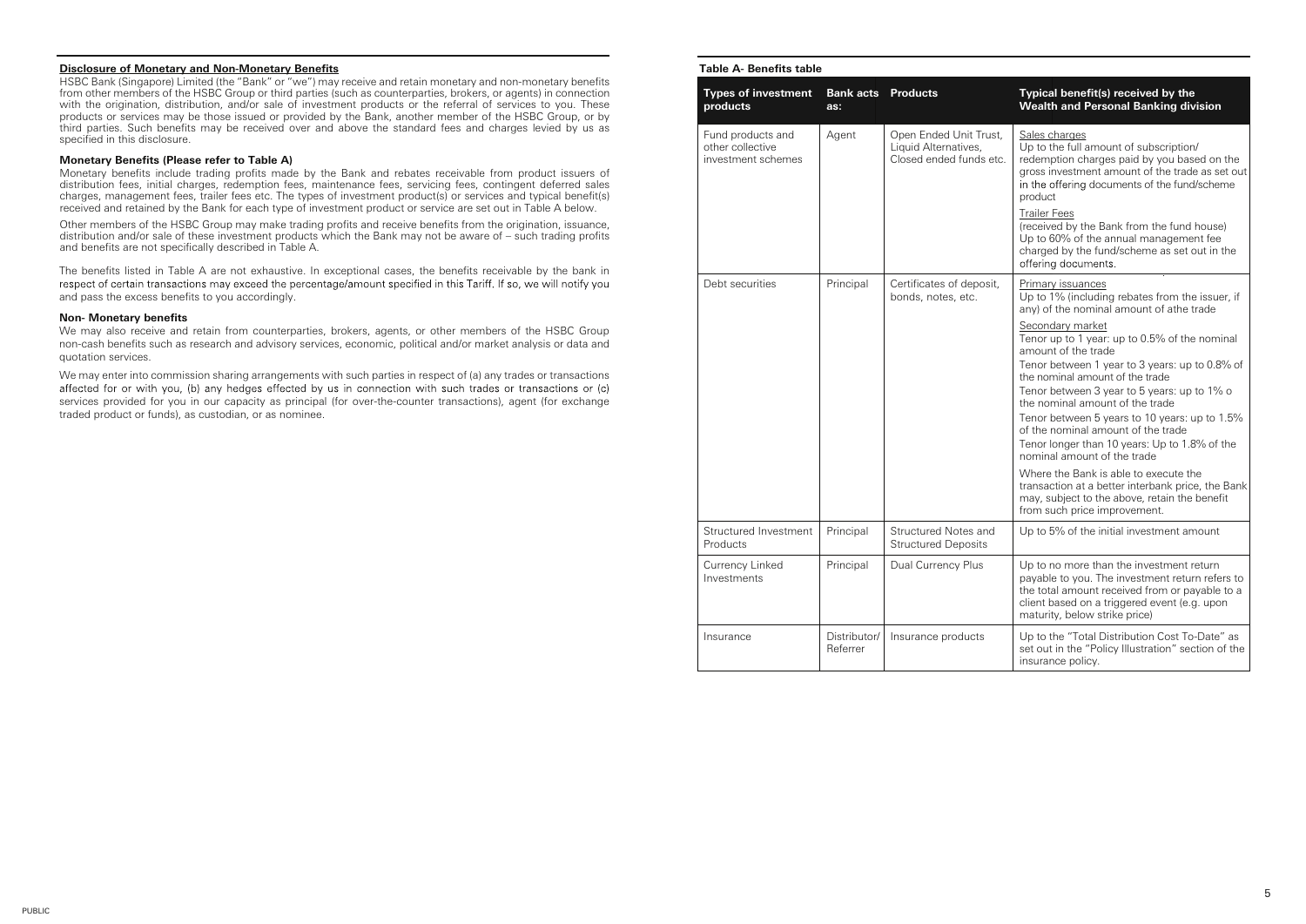#### **Disclosure of Monetary and Non-Monetary Benefits**

HSBC Bank (Singapore) Limited (the "Bank" or "we") may receive and retain monetary and non-monetary benefits from other members of the HSBC Group or third parties (such as counterparties, brokers, or agents) in connection with the origination, distribution, and/or sale of investment products or the referral of services to you. These products or services may be those issued or provided by the Bank, another member of the HSBC Group, or by third parties. Such benefits may be received over and above the standard fees and charges levied by us as specified in this disclosure.

#### **Monetary Benefits (Please refer to Table A)**

Monetary benefits include trading profits made by the Bank and rebates receivable from product issuers of distribution fees, initial charges, redemption fees, maintenance fees, servicing fees, contingent deferred sales charges, management fees, trailer fees etc. The types of investment product(s) or services and typical benefit(s) received and retained by the Bank for each type of investment product or service are set out in Table A below.

Other members of the HSBC Group may make trading profits and receive benefits from the origination, issuance, distribution and/or sale of these investment products which the Bank may not be aware of – such trading profits and benefits are not specifically described in Table A.

The benefits listed in Table A are not exhaustive. In exceptional cases, the benefits receivable by the bank in respect of certain transactions may exceed the percentage/amount specified in this Tariff. If so, we will noti and pass the excess benefits to you accordingly.

#### **Non- Monetary benefits**

We may also receive and retain from counterparties, brokers, agents, or other members of the HSBC Group non-cash benefits such as research and advisory services, economic, political and/or market analysis or data and quotation services.

We may enter into commission sharing arrangements with such parties in respect of (a) any trades or transactions affected for or with you, (b) any hedges effected by us in connection with such trades or transactions or (c) services provided for you in our capacity as principal (for over-the-counter transactions), agent (for exchange traded product or funds), as custodian, or as nominee.

### **Table A- Benefits table**

| <b>Types of investment</b><br>products                      | <b>Bank acts</b> Products<br>as: |                                                                           | Typical benefit(s) received by the<br>Wealth and Personal Banking division                                                                                                                                                                                                                                                                                                                                                             |
|-------------------------------------------------------------|----------------------------------|---------------------------------------------------------------------------|----------------------------------------------------------------------------------------------------------------------------------------------------------------------------------------------------------------------------------------------------------------------------------------------------------------------------------------------------------------------------------------------------------------------------------------|
| Fund products and<br>other collective<br>investment schemes | Agent                            | Open Ended Unit Trust,<br>Liquid Alternatives,<br>Closed ended funds etc. | Sales charges<br>Up to the full amount of subscription/<br>redemption charges paid by you based on the<br>gross investment amount of the trade as set out<br>in the offering documents of the fund/scheme<br>product<br><b>Trailer Fees</b><br>(received by the Bank from the fund house)<br>Up to 60% of the annual management fee<br>charged by the fund/scheme as set out in the<br>offering documents.                             |
| Debt securities                                             | Principal                        | Certificates of deposit,<br>bonds, notes, etc.                            | Primary issuances<br>Up to 1% (including rebates from the issuer, if<br>any) of the nominal amount of athe trade                                                                                                                                                                                                                                                                                                                       |
|                                                             |                                  |                                                                           | Secondary market<br>Tenor up to 1 year: up to 0.5% of the nominal<br>amount of the trade<br>Tenor between 1 year to 3 years: up to 0.8% of<br>the nominal amount of the trade<br>Tenor between 3 year to 5 years: up to 1% o<br>the nominal amount of the trade<br>Tenor between 5 years to 10 years: up to 1.5%<br>of the nominal amount of the trade<br>Tenor longer than 10 years: Up to 1.8% of the<br>nominal amount of the trade |
|                                                             |                                  |                                                                           | Where the Bank is able to execute the<br>transaction at a better interbank price, the Bank<br>may, subject to the above, retain the benefit<br>from such price improvement.                                                                                                                                                                                                                                                            |
| Structured Investment<br>Products                           | Principal                        | Structured Notes and<br><b>Structured Deposits</b>                        | Up to 5% of the initial investment amount                                                                                                                                                                                                                                                                                                                                                                                              |
| Currency Linked<br>Investments                              | Principal                        | Dual Currency Plus                                                        | Up to no more than the investment return<br>payable to you. The investment return refers to<br>the total amount received from or payable to a<br>client based on a triggered event (e.g. upon<br>maturity, below strike price)                                                                                                                                                                                                         |
| Insurance                                                   | Distributor/<br>Referrer         | Insurance products                                                        | Up to the "Total Distribution Cost To-Date" as<br>set out in the "Policy Illustration" section of the<br>insurance policy.                                                                                                                                                                                                                                                                                                             |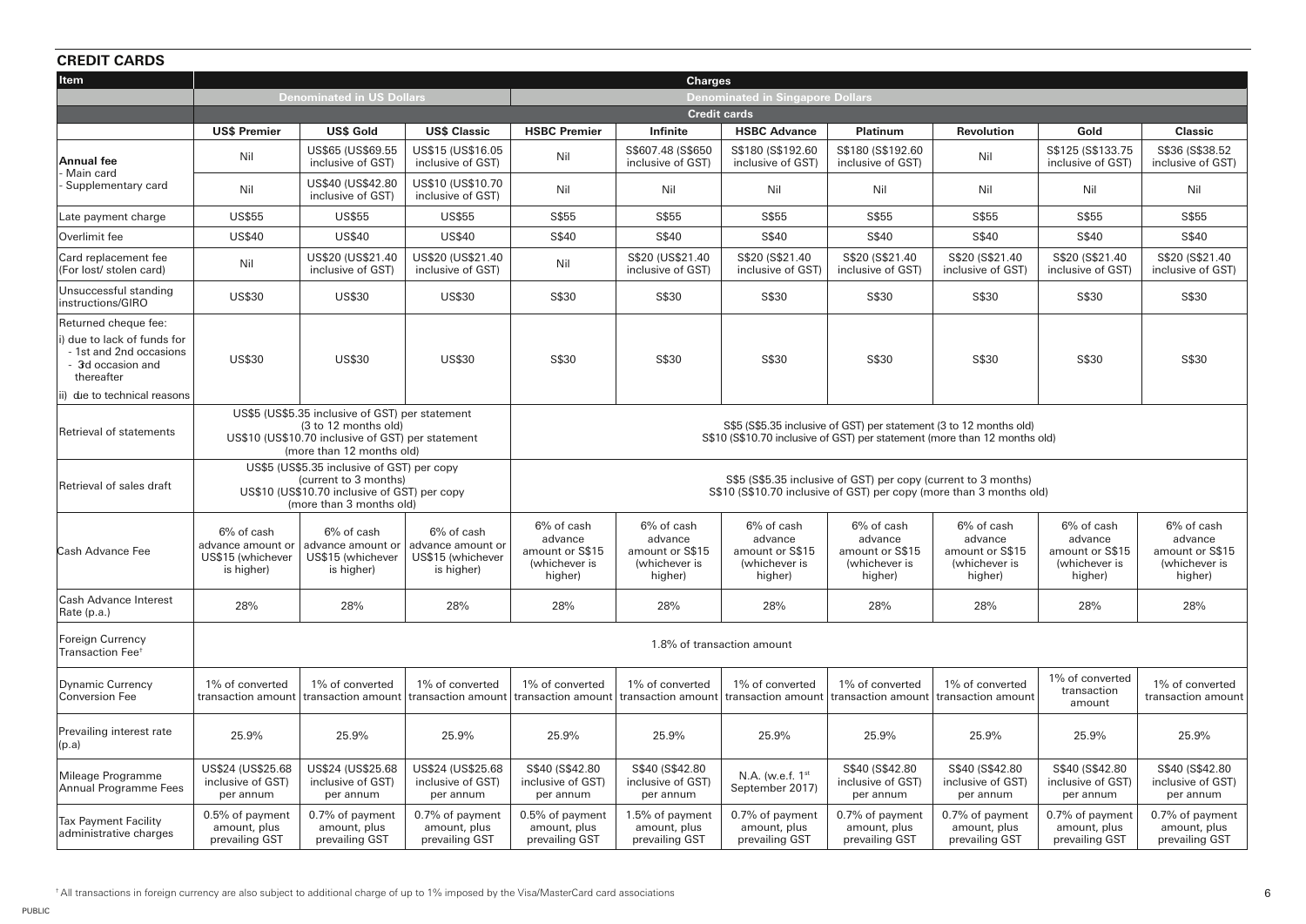# **CREDIT CARDS**

| uncyn umnyd                                                                              |                                                                                                                                                                                                                                                                                                              |                                                                    |                                                                    |                                                                      |                                                                      |                                                                      |                                                                      |                                                                      |                                                                      |                                                                      |
|------------------------------------------------------------------------------------------|--------------------------------------------------------------------------------------------------------------------------------------------------------------------------------------------------------------------------------------------------------------------------------------------------------------|--------------------------------------------------------------------|--------------------------------------------------------------------|----------------------------------------------------------------------|----------------------------------------------------------------------|----------------------------------------------------------------------|----------------------------------------------------------------------|----------------------------------------------------------------------|----------------------------------------------------------------------|----------------------------------------------------------------------|
| Item                                                                                     |                                                                                                                                                                                                                                                                                                              |                                                                    | <b>Charges</b>                                                     |                                                                      |                                                                      |                                                                      |                                                                      |                                                                      |                                                                      |                                                                      |
|                                                                                          | <b>Denominated in US Dollars</b>                                                                                                                                                                                                                                                                             |                                                                    |                                                                    |                                                                      |                                                                      | Denominated in Singapore Dollars                                     |                                                                      |                                                                      |                                                                      |                                                                      |
|                                                                                          | <b>US\$ Premier</b>                                                                                                                                                                                                                                                                                          | <b>US\$ Gold</b>                                                   | <b>US\$ Classic</b>                                                | <b>HSBC Premier</b>                                                  | Infinite                                                             | <b>Credit cards</b><br><b>HSBC Advance</b>                           | Platinum                                                             | <b>Revolution</b>                                                    | Gold                                                                 | <b>Classic</b>                                                       |
|                                                                                          |                                                                                                                                                                                                                                                                                                              | US\$65 (US\$69.55                                                  | US\$15 (US\$16.05                                                  |                                                                      | S\$607.48 (S\$650                                                    | S\$180 (S\$192.60                                                    | S\$180 (S\$192.60)                                                   |                                                                      | S\$125 (S\$133.75)                                                   | S\$36 (S\$38.52)                                                     |
| <b>Annual fee</b><br>Main card                                                           | Nil                                                                                                                                                                                                                                                                                                          | inclusive of GST)                                                  | inclusive of GST)                                                  | Nil                                                                  | inclusive of GST)                                                    | inclusive of GST)                                                    | inclusive of GST)                                                    | Nil                                                                  | inclusive of GST)                                                    | inclusive of GST)                                                    |
| Supplementary card                                                                       | Nil                                                                                                                                                                                                                                                                                                          | US\$40 (US\$42.80<br>inclusive of GST)                             | US\$10 (US\$10.70<br>inclusive of GST)                             | Nil                                                                  | Nil                                                                  | Nil                                                                  | Nil                                                                  | Nil                                                                  | Nil                                                                  | Nil                                                                  |
| Late payment charge                                                                      | <b>US\$55</b>                                                                                                                                                                                                                                                                                                | <b>US\$55</b>                                                      | <b>US\$55</b>                                                      | S\$55                                                                | S\$55                                                                | S\$55                                                                | S\$55                                                                | S\$55                                                                | S\$55                                                                | S\$55                                                                |
| Overlimit fee                                                                            | <b>US\$40</b>                                                                                                                                                                                                                                                                                                | <b>US\$40</b>                                                      | <b>US\$40</b>                                                      | S\$40                                                                | S\$40                                                                | S\$40                                                                | S\$40                                                                | S\$40                                                                | S\$40                                                                | S\$40                                                                |
| Card replacement fee<br>(For lost/ stolen card)                                          | Nil                                                                                                                                                                                                                                                                                                          | US\$20 (US\$21.40<br>inclusive of GST)                             | US\$20 (US\$21.40<br>inclusive of GST)                             | Nil                                                                  | S\$20 (US\$21.40<br>inclusive of GST)                                | S\$20 (S\$21.40)<br>inclusive of GST)                                | S\$20 (S\$21.40<br>inclusive of GST)                                 | S\$20 (S\$21.40)<br>inclusive of GST)                                | S\$20 (S\$21.40)<br>inclusive of GST)                                | S\$20 (S\$21.40<br>inclusive of GST)                                 |
| Unsuccessful standing<br>instructions/GIRO                                               | <b>US\$30</b>                                                                                                                                                                                                                                                                                                | <b>US\$30</b>                                                      | <b>US\$30</b>                                                      | S\$30                                                                | S\$30                                                                | S\$30                                                                | S\$30                                                                | S\$30                                                                | S\$30                                                                | S\$30                                                                |
| Returned cheque fee:                                                                     |                                                                                                                                                                                                                                                                                                              |                                                                    |                                                                    |                                                                      |                                                                      |                                                                      |                                                                      |                                                                      |                                                                      |                                                                      |
| ) due to lack of funds for<br>- 1st and 2nd occasions<br>- 3d occasion and<br>thereafter | <b>US\$30</b>                                                                                                                                                                                                                                                                                                | <b>US\$30</b>                                                      | <b>US\$30</b>                                                      | S\$30                                                                | S\$30                                                                | S\$30                                                                | S\$30                                                                | S\$30                                                                | S\$30                                                                | S\$30                                                                |
| ii) due to technical reasons                                                             |                                                                                                                                                                                                                                                                                                              |                                                                    |                                                                    |                                                                      |                                                                      |                                                                      |                                                                      |                                                                      |                                                                      |                                                                      |
| Retrieval of statements                                                                  | US\$5 (US\$5.35 inclusive of GST) per statement<br>S\$5 (S\$5.35 inclusive of GST) per statement (3 to 12 months old)<br>(3 to 12 months old)<br>US\$10 (US\$10.70 inclusive of GST) per statement<br>S\$10 (S\$10.70 inclusive of GST) per statement (more than 12 months old)<br>(more than 12 months old) |                                                                    |                                                                    |                                                                      |                                                                      |                                                                      |                                                                      |                                                                      |                                                                      |                                                                      |
| Retrieval of sales draft                                                                 | US\$5 (US\$5.35 inclusive of GST) per copy<br>(current to 3 months)<br>S\$5 (S\$5.35 inclusive of GST) per copy (current to 3 months)<br>US\$10 (US\$10.70 inclusive of GST) per copy<br>S\$10 (S\$10.70 inclusive of GST) per copy (more than 3 months old)<br>(more than 3 months old)                     |                                                                    |                                                                    |                                                                      |                                                                      |                                                                      |                                                                      |                                                                      |                                                                      |                                                                      |
| Cash Advance Fee                                                                         | 6% of cash<br>advance amount or<br>US\$15 (whichever<br>is higher)                                                                                                                                                                                                                                           | 6% of cash<br>advance amount or<br>US\$15 (whichever<br>is higher) | 6% of cash<br>advance amount or<br>US\$15 (whichever<br>is higher) | 6% of cash<br>advance<br>amount or S\$15<br>(whichever is<br>higher) | 6% of cash<br>advance<br>amount or S\$15<br>(whichever is<br>higher) | 6% of cash<br>advance<br>amount or S\$15<br>(whichever is<br>higher) | 6% of cash<br>advance<br>amount or S\$15<br>(whichever is<br>higher) | 6% of cash<br>advance<br>amount or S\$15<br>(whichever is<br>higher) | 6% of cash<br>advance<br>amount or S\$15<br>(whichever is<br>higher) | 6% of cash<br>advance<br>amount or S\$15<br>(whichever is<br>higher) |
| Cash Advance Interest<br>Rate (p.a.)                                                     | 28%                                                                                                                                                                                                                                                                                                          | 28%                                                                | 28%                                                                | 28%                                                                  | 28%                                                                  | 28%                                                                  | 28%                                                                  | 28%                                                                  | 28%                                                                  | 28%                                                                  |
| <b>Foreign Currency</b><br>Transaction Fee <sup>+</sup>                                  |                                                                                                                                                                                                                                                                                                              |                                                                    |                                                                    |                                                                      |                                                                      | 1.8% of transaction amount                                           |                                                                      |                                                                      |                                                                      |                                                                      |
| Dynamic Currency<br>Conversion Fee                                                       | 1% of converted<br>transaction amount                                                                                                                                                                                                                                                                        | 1% of converted<br>transaction amount                              | 1% of converted<br>transaction amount                              | 1% of converted<br>transaction amount                                | 1% of converted<br>transaction amount                                | 1% of converted<br>transaction amount                                | 1% of converted<br>transaction amount                                | 1% of converted<br>transaction amount                                | 1% of converted<br>transaction<br>amount                             | 1% of converted<br>transaction amount                                |
| Prevailing interest rate<br>(p.a)                                                        | 25.9%                                                                                                                                                                                                                                                                                                        | 25.9%                                                              | 25.9%                                                              | 25.9%                                                                | 25.9%                                                                | 25.9%                                                                | 25.9%                                                                | 25.9%                                                                | 25.9%                                                                | 25.9%                                                                |
| Mileage Programme<br>Annual Programme Fees                                               | US\$24 (US\$25.68<br>inclusive of GST)<br>per annum                                                                                                                                                                                                                                                          | US\$24 (US\$25.68<br>inclusive of GST)<br>per annum                | US\$24 (US\$25.68<br>inclusive of GST)<br>per annum                | S\$40 (S\$42.80)<br>inclusive of GST)<br>per annum                   | S\$40 (S\$42.80<br>inclusive of GST)<br>per annum                    | N.A. (w.e.f. 1 <sup>st</sup><br>September 2017)                      | S\$40 (S\$42.80<br>inclusive of GST)<br>per annum                    | S\$40 (S\$42.80)<br>inclusive of GST)<br>per annum                   | S\$40 (S\$42.80)<br>inclusive of GST)<br>per annum                   | S\$40 (S\$42.80)<br>inclusive of GST)<br>per annum                   |
| Tax Payment Facility<br>administrative charges                                           | 0.5% of payment<br>amount, plus<br>prevailing GST                                                                                                                                                                                                                                                            | 0.7% of payment<br>amount, plus<br>prevailing GST                  | 0.7% of payment<br>amount, plus<br>prevailing GST                  | 0.5% of payment<br>amount, plus<br>prevailing GST                    | 1.5% of payment<br>amount, plus<br>prevailing GST                    | 0.7% of payment<br>amount, plus<br>prevailing GST                    | 0.7% of payment<br>amount, plus<br>prevailing GST                    | 0.7% of payment<br>amount, plus<br>prevailing GST                    | 0.7% of payment<br>amount, plus<br>prevailing GST                    | 0.7% of payment<br>amount, plus<br>prevailing GST                    |

† All transactions in foreign currency are also subject to additional charge of up to 1% imposed by the Visa/MasterCard card associations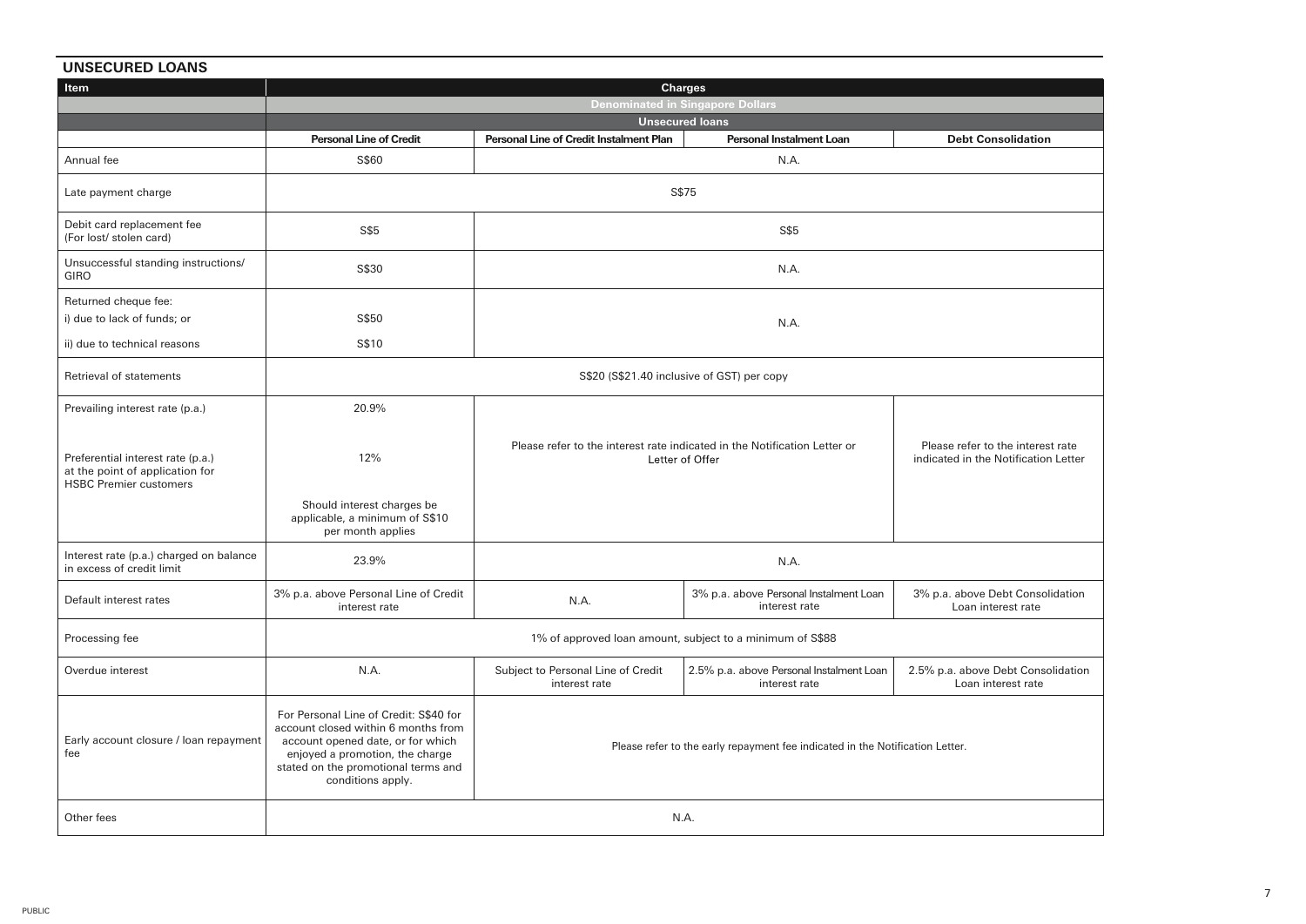| <b>UNSECURED LOANS</b>                                                                                |                                                                                                                                                                                                                   |                                                                                                                                                                           |                                                           |                                                          |  |  |
|-------------------------------------------------------------------------------------------------------|-------------------------------------------------------------------------------------------------------------------------------------------------------------------------------------------------------------------|---------------------------------------------------------------------------------------------------------------------------------------------------------------------------|-----------------------------------------------------------|----------------------------------------------------------|--|--|
| <b>Item</b>                                                                                           | Charges                                                                                                                                                                                                           |                                                                                                                                                                           |                                                           |                                                          |  |  |
|                                                                                                       |                                                                                                                                                                                                                   | <b>Denominated in Singapore Dollars</b>                                                                                                                                   |                                                           |                                                          |  |  |
|                                                                                                       |                                                                                                                                                                                                                   |                                                                                                                                                                           | <b>Unsecured loans</b>                                    |                                                          |  |  |
|                                                                                                       | <b>Personal Line of Credit</b>                                                                                                                                                                                    | Personal Line of Credit Instalment Plan                                                                                                                                   | Personal Instalment Loan                                  | <b>Debt Consolidation</b>                                |  |  |
| Annual fee                                                                                            | S\$60                                                                                                                                                                                                             |                                                                                                                                                                           | N.A.                                                      |                                                          |  |  |
| Late payment charge                                                                                   |                                                                                                                                                                                                                   | S\$75                                                                                                                                                                     |                                                           |                                                          |  |  |
| Debit card replacement fee<br>(For lost/ stolen card)                                                 | S\$5                                                                                                                                                                                                              |                                                                                                                                                                           | S\$5                                                      |                                                          |  |  |
| Unsuccessful standing instructions/<br><b>GIRO</b>                                                    | S\$30                                                                                                                                                                                                             |                                                                                                                                                                           | N.A.                                                      |                                                          |  |  |
| Returned cheque fee:<br>i) due to lack of funds; or                                                   | S\$50                                                                                                                                                                                                             |                                                                                                                                                                           | N.A.                                                      |                                                          |  |  |
| ii) due to technical reasons                                                                          | S\$10                                                                                                                                                                                                             |                                                                                                                                                                           |                                                           |                                                          |  |  |
| Retrieval of statements                                                                               | S\$20 (S\$21.40 inclusive of GST) per copy                                                                                                                                                                        |                                                                                                                                                                           |                                                           |                                                          |  |  |
| Prevailing interest rate (p.a.)                                                                       | 20.9%                                                                                                                                                                                                             |                                                                                                                                                                           |                                                           |                                                          |  |  |
| Preferential interest rate (p.a.)<br>at the point of application for<br><b>HSBC Premier customers</b> | 12%                                                                                                                                                                                                               | Please refer to the interest rate indicated in the Notification Letter or<br>Please refer to the interest rate<br>Letter of Offer<br>indicated in the Notification Letter |                                                           |                                                          |  |  |
|                                                                                                       | Should interest charges be<br>applicable, a minimum of S\$10<br>per month applies                                                                                                                                 |                                                                                                                                                                           |                                                           |                                                          |  |  |
| Interest rate (p.a.) charged on balance<br>in excess of credit limit                                  | 23.9%                                                                                                                                                                                                             |                                                                                                                                                                           | N.A.                                                      |                                                          |  |  |
| Default interest rates                                                                                | 3% p.a. above Personal Line of Credit<br>interest rate                                                                                                                                                            | N.A.                                                                                                                                                                      | 3% p.a. above Personal Instalment Loan<br>interest rate   | 3% p.a. above Debt Consolidation<br>Loan interest rate   |  |  |
| Processing fee                                                                                        |                                                                                                                                                                                                                   |                                                                                                                                                                           | 1% of approved loan amount, subject to a minimum of S\$88 |                                                          |  |  |
| Overdue interest                                                                                      | N.A.                                                                                                                                                                                                              | Subject to Personal Line of Credit<br>2.5% p.a. above Personal Instalment Loan<br>interest rate<br>interest rate                                                          |                                                           | 2.5% p.a. above Debt Consolidation<br>Loan interest rate |  |  |
| Early account closure / loan repayment<br>fee                                                         | For Personal Line of Credit: S\$40 for<br>account closed within 6 months from<br>account opened date, or for which<br>enjoyed a promotion, the charge<br>stated on the promotional terms and<br>conditions apply. | Please refer to the early repayment fee indicated in the Notification Letter.                                                                                             |                                                           |                                                          |  |  |
| Other fees                                                                                            | N.A.                                                                                                                                                                                                              |                                                                                                                                                                           |                                                           |                                                          |  |  |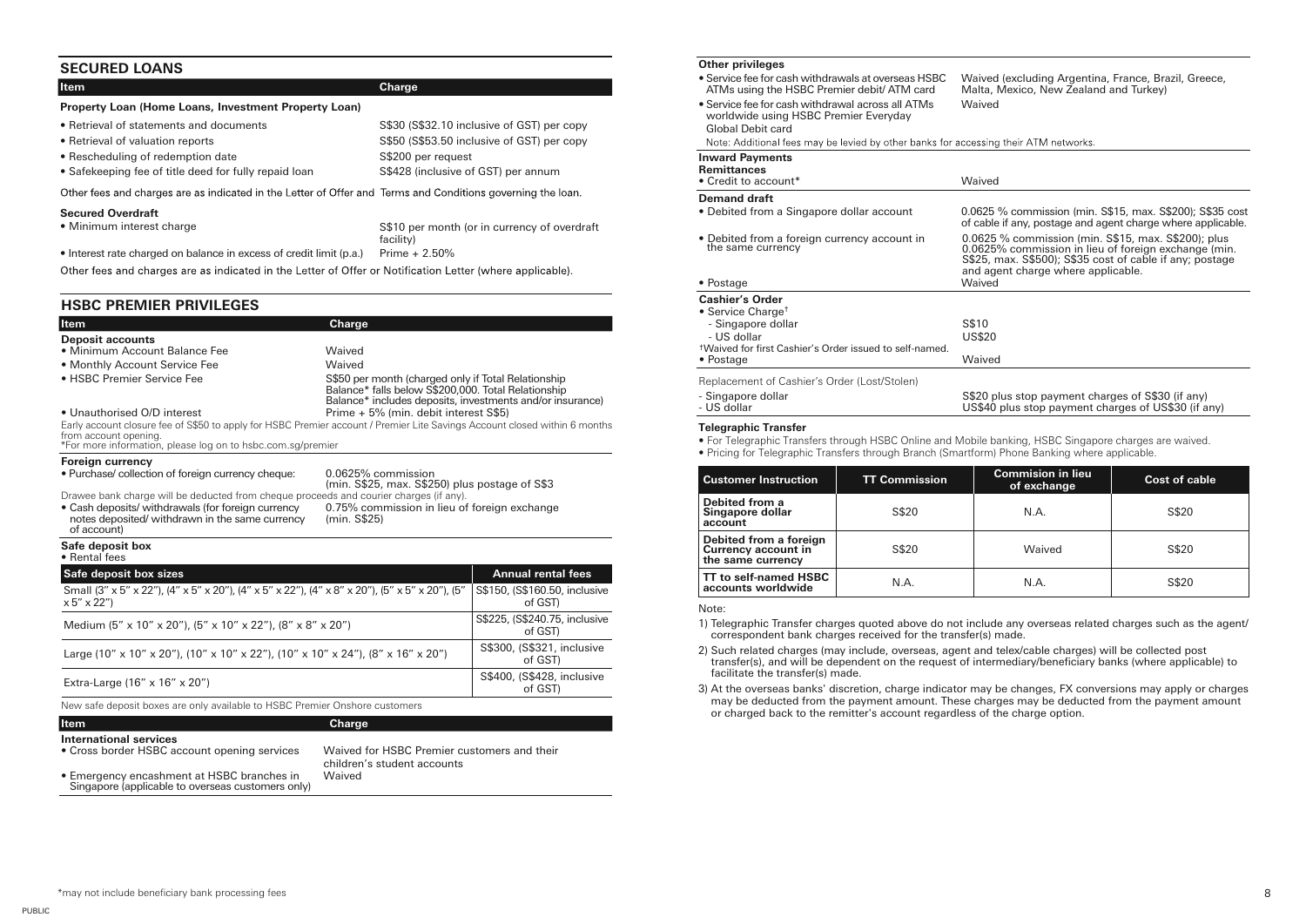## **SECURED LOANS**

| <b>Item</b>                                           | Charge                                     |
|-------------------------------------------------------|--------------------------------------------|
| Property Loan (Home Loans, Investment Property Loan)  |                                            |
| • Retrieval of statements and documents               | S\$30 (S\$32.10 inclusive of GST) per copy |
| • Retrieval of valuation reports                      | S\$50 (S\$53.50 inclusive of GST) per copy |
| • Rescheduling of redemption date                     | S\$200 per request                         |
| • Safekeeping fee of title deed for fully repaid loan | S\$428 (inclusive of GST) per annum        |

Other fees and charges are as indicated in the Letter of Offer and Terms and Conditions governing the loan.

#### **Secured Overdraft**

| • Minimum interest charge | S\$10 per month (or in currency of overdraft |
|---------------------------|----------------------------------------------|
|                           | facility)                                    |

• Interest rate charged on balance in excess of credit limit (p.a.) Prime  $+ 2.50\%$ 

Other fees and charges are as indicated in the Letter of Offer or Notification Letter (where applicable).

## **HSBC PREMIER PRIVILEGES**

| <b>Item</b>                   | Charge                                                                                                                                                                  |
|-------------------------------|-------------------------------------------------------------------------------------------------------------------------------------------------------------------------|
| <b>Deposit accounts</b>       |                                                                                                                                                                         |
| • Minimum Account Balance Fee | Waived                                                                                                                                                                  |
| • Monthly Account Service Fee | Waived                                                                                                                                                                  |
| • HSBC Premier Service Fee    | S\$50 per month (charged only if Total Relationship<br>Balance* falls below S\$200,000. Total Relationship<br>Balance* includes deposits, investments and/or insurance) |
| • Unauthorised O/D interest   | Prime + 5% (min. debit interest S\$5)                                                                                                                                   |
| from account opening.         | Early account closure fee of S\$50 to apply for HSBC Premier account / Premier Lite Savings Account closed within 6 months                                              |

\*For more information, please log on to hsbc.com.sg/premier

| Foreign currency                                                                                                     |                                                                      |
|----------------------------------------------------------------------------------------------------------------------|----------------------------------------------------------------------|
| • Purchase/ collection of foreign currency cheque:                                                                   | 0.0625% commission<br>(min. S\$25, max. S\$250) plus postage of S\$3 |
| Drawee bank charge will be deducted from cheque proceeds and courier charges (if any).                               |                                                                      |
| • Cash deposits/ withdrawals (for foreign currency<br>notes deposited/ withdrawn in the same currency<br>of account) | 0.75% commission in lieu of foreign exchange<br>(min. S\$25)         |
| Safe deposit box<br>$\bullet$ Pontal food                                                                            |                                                                      |

• Rental fees

| Safe deposit box sizes                                                                                             | <b>Annual rental fees</b>                |
|--------------------------------------------------------------------------------------------------------------------|------------------------------------------|
| Small (3" x 5" x 22"), (4" x 5" x 20"), (4" x 5" x 22"), (4" x 8" x 20"), (5" x 5" x 20"), (5"<br>$x 5''$ $x 22''$ | S\$150, (S\$160.50, inclusive<br>of GST) |
| Medium (5" x 10" x 20"), (5" x 10" x 22"), (8" x 8" x 20")                                                         | S\$225, (S\$240.75, inclusive<br>of GST) |
| Large (10" x 10" x 20"), (10" x 10" x 22"), (10" x 10" x 24"), (8" x 16" x 20")                                    | S\$300, (S\$321, inclusive<br>of GST)    |
| Extra-Large $(16'' \times 16'' \times 20'')$                                                                       | S\$400, (S\$428, inclusive<br>of GST)    |

New safe deposit boxes are only available to HSBC Premier Onshore customers

#### **International services** • Cross border HSBC account opening services Waived for HSBC Premier customers and their children's student accounts • Emergency encashment at HSBC branches in Singapore (applicable to overseas customers only) Waived **Item Charge**

#### **Other privileges**

| <b>Uther privileges</b>                                                                                         |                                                                                                                                                                                                               |  |
|-----------------------------------------------------------------------------------------------------------------|---------------------------------------------------------------------------------------------------------------------------------------------------------------------------------------------------------------|--|
| • Service fee for cash withdrawals at overseas HSBC<br>ATMs using the HSBC Premier debit/ ATM card              | Waived (excluding Argentina, France, Brazil, Greece,<br>Malta, Mexico, New Zealand and Turkey)                                                                                                                |  |
| • Service fee for cash withdrawal across all ATMs<br>worldwide using HSBC Premier Everyday<br>Global Debit card | Waived                                                                                                                                                                                                        |  |
| Note: Additional fees may be levied by other banks for accessing their ATM networks.                            |                                                                                                                                                                                                               |  |
| <b>Inward Payments</b><br><b>Remittances</b>                                                                    |                                                                                                                                                                                                               |  |
| • Credit to account*                                                                                            | Waived                                                                                                                                                                                                        |  |
| <b>Demand draft</b>                                                                                             |                                                                                                                                                                                                               |  |
| • Debited from a Singapore dollar account                                                                       | 0.0625 % commission (min. S\$15, max. S\$200); S\$35 cost<br>of cable if any, postage and agent charge where applicable.                                                                                      |  |
| • Debited from a foreign currency account in<br>the same currency                                               | 0.0625 % commission (min. S\$15, max. S\$200); plus<br>0.0625% commission in lieu of foreign exchange (min.<br>S\$25, max. S\$500); S\$35 cost of cable if any; postage<br>and agent charge where applicable. |  |
| • Postage                                                                                                       | Waived                                                                                                                                                                                                        |  |
| <b>Cashier's Order</b>                                                                                          |                                                                                                                                                                                                               |  |
| • Service Charge <sup>+</sup>                                                                                   |                                                                                                                                                                                                               |  |
| - Singapore dollar                                                                                              | S\$10                                                                                                                                                                                                         |  |
| - US dollar                                                                                                     | <b>US\$20</b>                                                                                                                                                                                                 |  |
| tWaived for first Cashier's Order issued to self-named.                                                         |                                                                                                                                                                                                               |  |
| • Postage                                                                                                       | Waived                                                                                                                                                                                                        |  |
| Replacement of Cashier's Order (Lost/Stolen)                                                                    |                                                                                                                                                                                                               |  |
| - Singapore dollar<br>- US dollar                                                                               | S\$20 plus stop payment charges of S\$30 (if any)<br>US\$40 plus stop payment charges of US\$30 (if any)                                                                                                      |  |
|                                                                                                                 |                                                                                                                                                                                                               |  |

#### **Telegraphic Transfer**

• For Telegraphic Transfers through HSBC Online and Mobile banking, HSBC Singapore charges are waived.

• Pricing for Telegraphic Transfers through Branch (Smartform) Phone Banking where applicable.

| <b>Customer Instruction</b>                                        | <b>TT Commission</b> | <b>Commision in lieu</b><br>of exchange | Cost of cable |
|--------------------------------------------------------------------|----------------------|-----------------------------------------|---------------|
| Debited from a<br>Singapore dollar<br>account                      | S\$20                | N.A.                                    | S\$20         |
| Debited from a foreign<br>Currency account in<br>the same currency | S\$20                | Waived                                  | S\$20         |
| TT to self-named HSBC<br>accounts worldwide                        | N.A.                 | N.A.                                    | S\$20         |

Note:

1) Telegraphic Transfer charges quoted above do not include any overseas related charges such as the agent/ correspondent bank charges received for the transfer(s) made.

2) Such related charges (may include, overseas, agent and telex/cable charges) will be collected post transfer(s), and will be dependent on the request of intermediary/beneficiary banks (where applicable) to facilitate the transfer(s) made.

3) At the overseas banks' discretion, charge indicator may be changes, FX conversions may apply or charges may be deducted from the payment amount. These charges may be deducted from the payment amount or charged back to the remitter's account regardless of the charge option.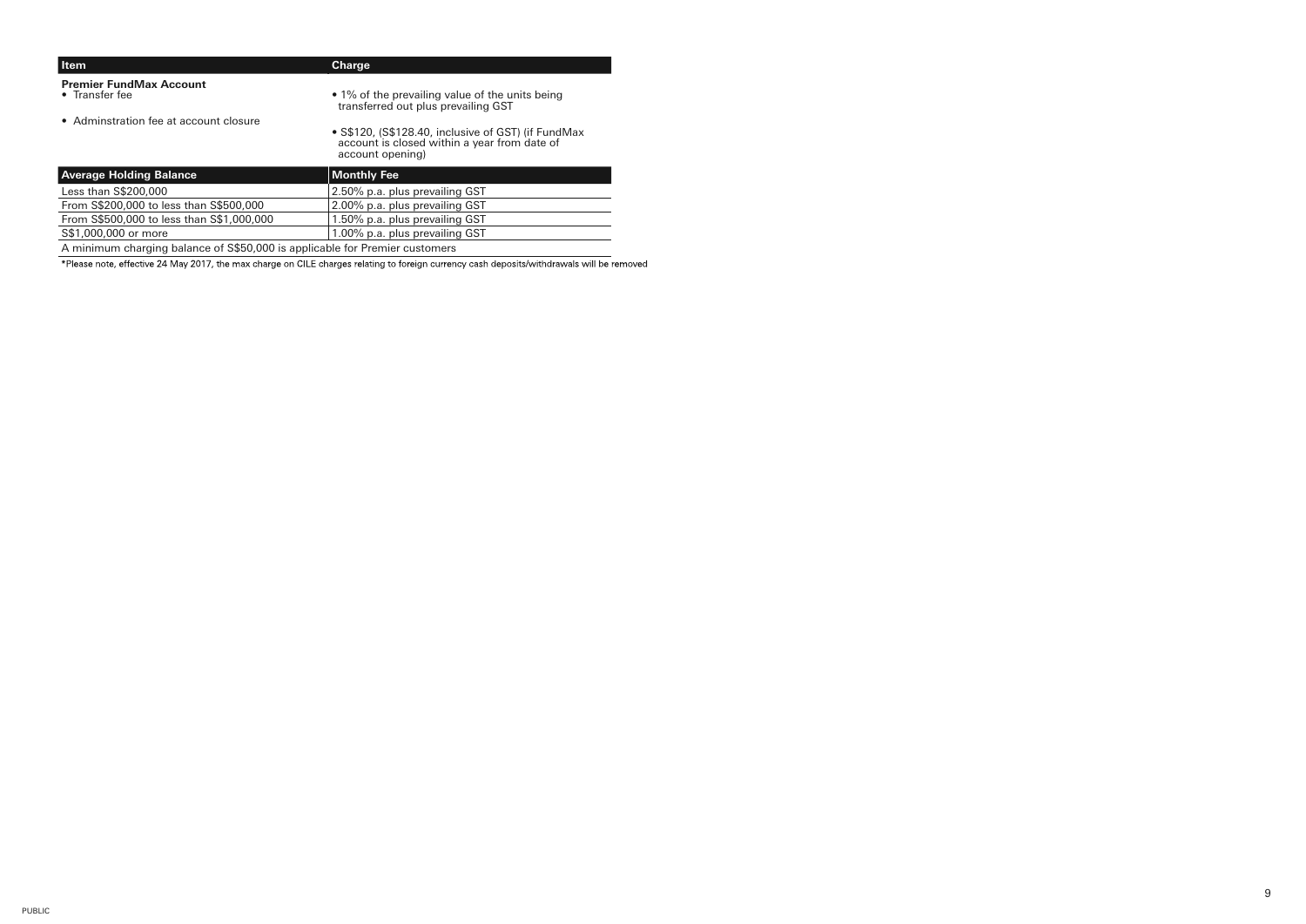| <b>Item</b>                                                                  | Charge                                                                                                                  |
|------------------------------------------------------------------------------|-------------------------------------------------------------------------------------------------------------------------|
| <b>Premier FundMax Account</b><br>• Transfer fee                             | • 1% of the prevailing value of the units being<br>transferred out plus prevailing GST                                  |
| • Adminstration fee at account closure                                       | • S\$120, (S\$128.40, inclusive of GST) (if FundMax<br>account is closed within a year from date of<br>account opening) |
| <b>Average Holding Balance</b>                                               | <b>Monthly Fee</b>                                                                                                      |
| Less than S\$200,000                                                         | 2.50% p.a. plus prevailing GST                                                                                          |
| From S\$200,000 to less than S\$500,000                                      | 2.00% p.a. plus prevailing GST                                                                                          |
| From S\$500,000 to less than S\$1,000,000                                    | 1.50% p.a. plus prevailing GST                                                                                          |
| S\$1,000,000 or more                                                         | 1.00% p.a. plus prevailing GST                                                                                          |
| A minimum charging balance of \$\$50,000 is applicable for Premier customers |                                                                                                                         |

\*Please note, effective 24 May 2017, the max charge on CILE charges relating to foreign currency cash deposits/withdrawals will be removed